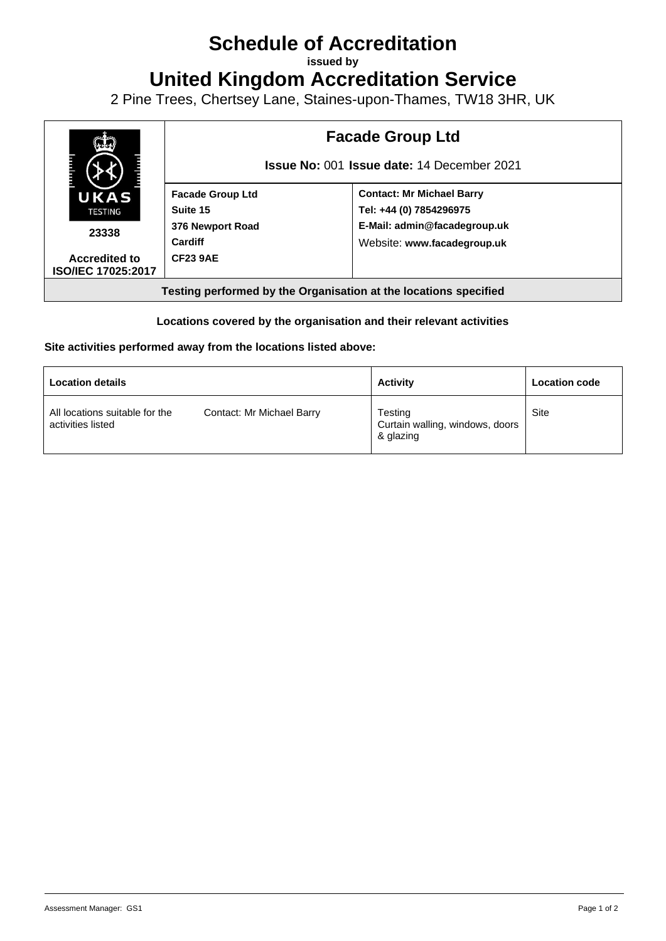## **Schedule of Accreditation**

**issued by**

**United Kingdom Accreditation Service**

2 Pine Trees, Chertsey Lane, Staines-upon-Thames, TW18 3HR, UK



## **Locations covered by the organisation and their relevant activities**

## **Site activities performed away from the locations listed above:**

| <b>Location details</b>                             |                           | <b>Activity</b>                                         | <b>Location code</b> |
|-----------------------------------------------------|---------------------------|---------------------------------------------------------|----------------------|
| All locations suitable for the<br>activities listed | Contact: Mr Michael Barry | Testing<br>Curtain walling, windows, doors<br>& glazing | Site                 |